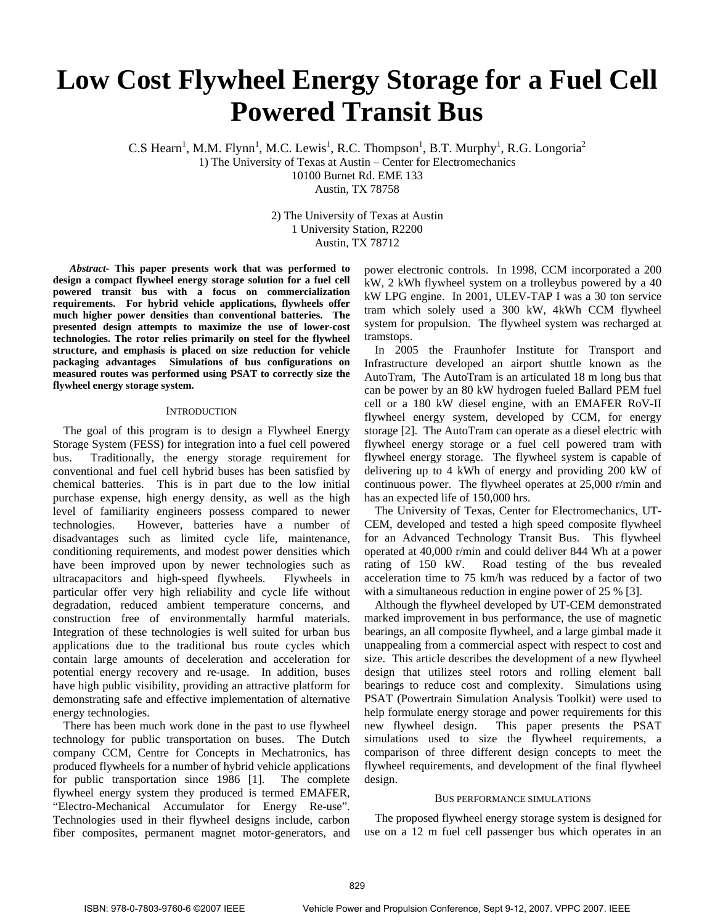# **Low Cost Flywheel Energy Storage for a Fuel Cell Powered Transit Bus**

C.S Hearn<sup>1</sup>, M.M. Flynn<sup>1</sup>, M.C. Lewis<sup>1</sup>, R.C. Thompson<sup>1</sup>, B.T. Murphy<sup>1</sup>, R.G. Longoria<sup>2</sup>

1) The University of Texas at Austin – Center for Electromechanics

10100 Burnet Rd. EME 133

Austin, TX 78758

2) The University of Texas at Austin 1 University Station, R2200 Austin, TX 78712

*Abstract-* **This paper presents work that was performed to design a compact flywheel energy storage solution for a fuel cell powered transit bus with a focus on commercialization requirements. For hybrid vehicle applications, flywheels offer much higher power densities than conventional batteries. The presented design attempts to maximize the use of lower-cost technologies. The rotor relies primarily on steel for the flywheel structure, and emphasis is placed on size reduction for vehicle packaging advantages Simulations of bus configurations on measured routes was performed using PSAT to correctly size the flywheel energy storage system.** 

## **INTRODUCTION**

The goal of this program is to design a Flywheel Energy Storage System (FESS) for integration into a fuel cell powered bus. Traditionally, the energy storage requirement for conventional and fuel cell hybrid buses has been satisfied by chemical batteries. This is in part due to the low initial purchase expense, high energy density, as well as the high level of familiarity engineers possess compared to newer technologies. However, batteries have a number of disadvantages such as limited cycle life, maintenance, conditioning requirements, and modest power densities which have been improved upon by newer technologies such as ultracapacitors and high-speed flywheels. Flywheels in particular offer very high reliability and cycle life without degradation, reduced ambient temperature concerns, and construction free of environmentally harmful materials. Integration of these technologies is well suited for urban bus applications due to the traditional bus route cycles which contain large amounts of deceleration and acceleration for potential energy recovery and re-usage. In addition, buses have high public visibility, providing an attractive platform for demonstrating safe and effective implementation of alternative energy technologies.

There has been much work done in the past to use flywheel technology for public transportation on buses. The Dutch company CCM, Centre for Concepts in Mechatronics, has produced flywheels for a number of hybrid vehicle applications for public transportation since 1986 [1]. The complete flywheel energy system they produced is termed EMAFER, "Electro-Mechanical Accumulator for Energy Re-use". Technologies used in their flywheel designs include, carbon fiber composites, permanent magnet motor-generators, and

power electronic controls. In 1998, CCM incorporated a 200 kW, 2 kWh flywheel system on a trolleybus powered by a 40 kW LPG engine. In 2001, ULEV-TAP I was a 30 ton service tram which solely used a 300 kW, 4kWh CCM flywheel system for propulsion. The flywheel system was recharged at tramstops.

In 2005 the Fraunhofer Institute for Transport and Infrastructure developed an airport shuttle known as the AutoTram, The AutoTram is an articulated 18 m long bus that can be power by an 80 kW hydrogen fueled Ballard PEM fuel cell or a 180 kW diesel engine, with an EMAFER RoV-II flywheel energy system, developed by CCM, for energy storage [2]. The AutoTram can operate as a diesel electric with flywheel energy storage or a fuel cell powered tram with flywheel energy storage. The flywheel system is capable of delivering up to 4 kWh of energy and providing 200 kW of continuous power. The flywheel operates at 25,000 r/min and has an expected life of 150,000 hrs.

The University of Texas, Center for Electromechanics, UT-CEM, developed and tested a high speed composite flywheel for an Advanced Technology Transit Bus. This flywheel operated at 40,000 r/min and could deliver 844 Wh at a power rating of 150 kW. Road testing of the bus revealed acceleration time to 75 km/h was reduced by a factor of two with a simultaneous reduction in engine power of 25 % [3].

Although the flywheel developed by UT-CEM demonstrated marked improvement in bus performance, the use of magnetic bearings, an all composite flywheel, and a large gimbal made it unappealing from a commercial aspect with respect to cost and size. This article describes the development of a new flywheel design that utilizes steel rotors and rolling element ball bearings to reduce cost and complexity. Simulations using PSAT (Powertrain Simulation Analysis Toolkit) were used to help formulate energy storage and power requirements for this new flywheel design. This paper presents the PSAT simulations used to size the flywheel requirements, a comparison of three different design concepts to meet the flywheel requirements, and development of the final flywheel design.

# BUS PERFORMANCE SIMULATIONS

The proposed flywheel energy storage system is designed for use on a 12 m fuel cell passenger bus which operates in an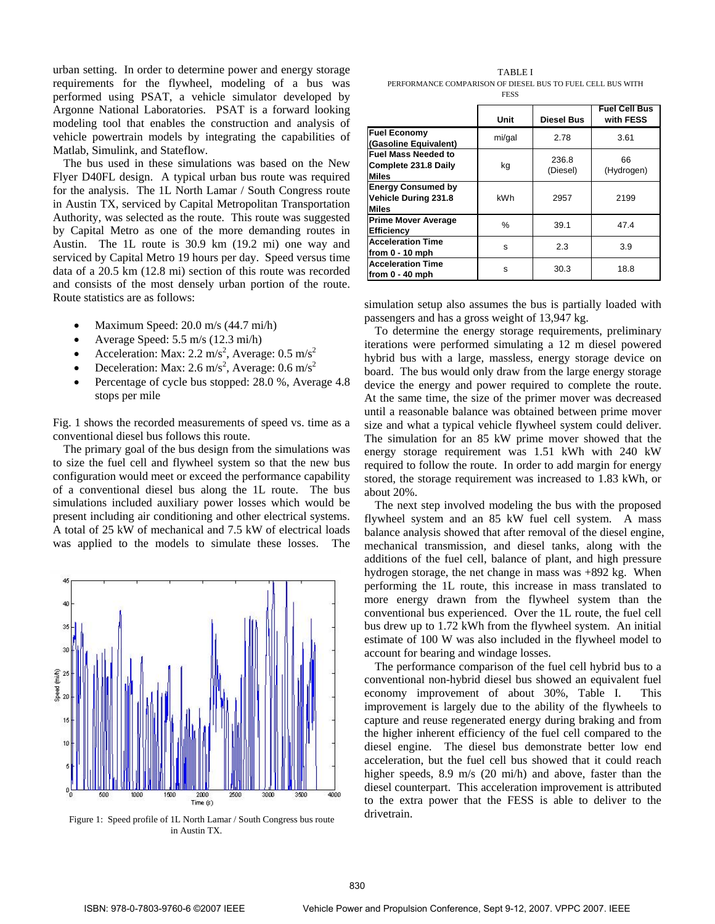urban setting. In order to determine power and energy storage requirements for the flywheel, modeling of a bus was performed using PSAT, a vehicle simulator developed by Argonne National Laboratories. PSAT is a forward looking modeling tool that enables the construction and analysis of vehicle powertrain models by integrating the capabilities of Matlab, Simulink, and Stateflow.

The bus used in these simulations was based on the New Flyer D40FL design. A typical urban bus route was required for the analysis. The 1L North Lamar / South Congress route in Austin TX, serviced by Capital Metropolitan Transportation Authority, was selected as the route. This route was suggested by Capital Metro as one of the more demanding routes in Austin. The 1L route is 30.9 km (19.2 mi) one way and serviced by Capital Metro 19 hours per day. Speed versus time data of a 20.5 km (12.8 mi) section of this route was recorded and consists of the most densely urban portion of the route. Route statistics are as follows:

- Maximum Speed: 20.0 m/s (44.7 mi/h)
- Average Speed: 5.5 m/s (12.3 mi/h)
- Acceleration: Max: 2.2 m/s<sup>2</sup>, Average: 0.5 m/s<sup>2</sup>
- Deceleration: Max: 2.6 m/s<sup>2</sup>, Average: 0.6 m/s<sup>2</sup>
- Percentage of cycle bus stopped: 28.0 %, Average 4.8 stops per mile

Fig. 1 shows the recorded measurements of speed vs. time as a conventional diesel bus follows this route.

The primary goal of the bus design from the simulations was to size the fuel cell and flywheel system so that the new bus configuration would meet or exceed the performance capability of a conventional diesel bus along the 1L route. The bus simulations included auxiliary power losses which would be present including air conditioning and other electrical systems. A total of 25 kW of mechanical and 7.5 kW of electrical loads was applied to the models to simulate these losses. The



Figure 1: Speed profile of 1L North Lamar / South Congress bus route in Austin TX.

TABLE I PERFORMANCE COMPARISON OF DIESEL BUS TO FUEL CELL BUS WITH FESS

|                                                                    | Unit   | <b>Diesel Bus</b> | <b>Fuel Cell Bus</b><br>with FESS |
|--------------------------------------------------------------------|--------|-------------------|-----------------------------------|
| <b>Fuel Economy</b><br>(Gasoline Equivalent)                       | mi/gal | 2.78              | 3.61                              |
| <b>Fuel Mass Needed to</b><br>Complete 231.8 Daily<br><b>Miles</b> | kg     | 236.8<br>(Diesel) | 66<br>(Hydrogen)                  |
| <b>Energy Consumed by</b><br><b>Vehicle During 231.8</b><br>Miles  | kWh    | 2957              | 2199                              |
| <b>Prime Mover Average</b><br><b>Efficiency</b>                    | %      | 39.1              | 47.4                              |
| <b>Acceleration Time</b><br>from 0 - 10 mph                        | s      | 2.3               | 3.9                               |
| <b>Acceleration Time</b><br>from $0 - 40$ mph                      | s      | 30.3              | 18.8                              |

simulation setup also assumes the bus is partially loaded with passengers and has a gross weight of 13,947 kg.

To determine the energy storage requirements, preliminary iterations were performed simulating a 12 m diesel powered hybrid bus with a large, massless, energy storage device on board. The bus would only draw from the large energy storage device the energy and power required to complete the route. At the same time, the size of the primer mover was decreased until a reasonable balance was obtained between prime mover size and what a typical vehicle flywheel system could deliver. The simulation for an 85 kW prime mover showed that the energy storage requirement was 1.51 kWh with 240 kW required to follow the route. In order to add margin for energy stored, the storage requirement was increased to 1.83 kWh, or about 20%.

The next step involved modeling the bus with the proposed flywheel system and an 85 kW fuel cell system. A mass balance analysis showed that after removal of the diesel engine, mechanical transmission, and diesel tanks, along with the additions of the fuel cell, balance of plant, and high pressure hydrogen storage, the net change in mass was +892 kg. When performing the 1L route, this increase in mass translated to more energy drawn from the flywheel system than the conventional bus experienced. Over the 1L route, the fuel cell bus drew up to 1.72 kWh from the flywheel system. An initial estimate of 100 W was also included in the flywheel model to account for bearing and windage losses.

The performance comparison of the fuel cell hybrid bus to a conventional non-hybrid diesel bus showed an equivalent fuel economy improvement of about 30%, Table I. This improvement is largely due to the ability of the flywheels to capture and reuse regenerated energy during braking and from the higher inherent efficiency of the fuel cell compared to the diesel engine. The diesel bus demonstrate better low end acceleration, but the fuel cell bus showed that it could reach higher speeds, 8.9 m/s (20 mi/h) and above, faster than the diesel counterpart. This acceleration improvement is attributed to the extra power that the FESS is able to deliver to the drivetrain.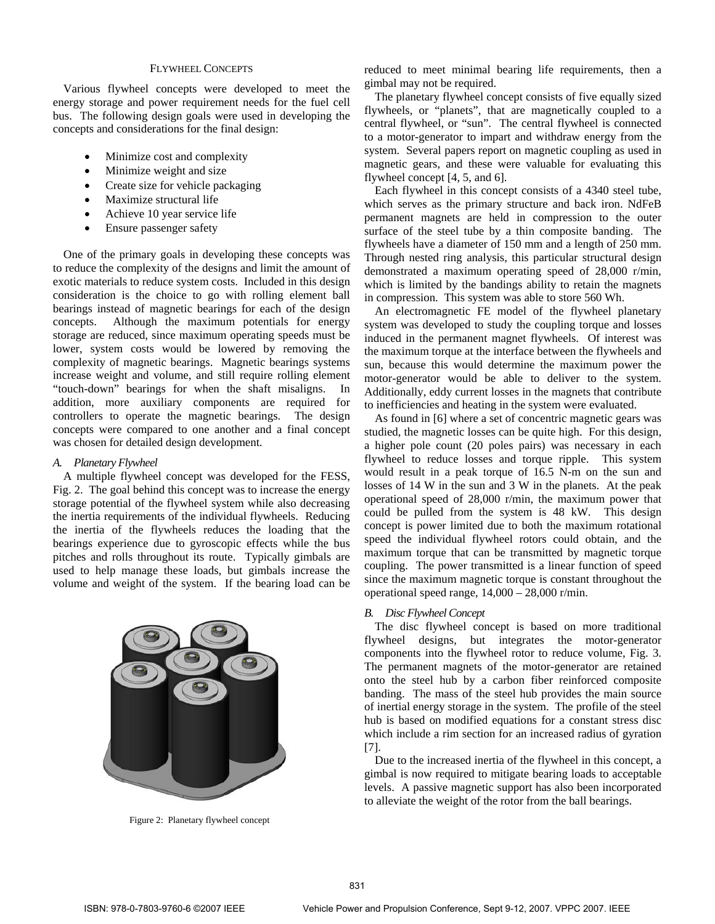## FLYWHEEL CONCEPTS

Various flywheel concepts were developed to meet the energy storage and power requirement needs for the fuel cell bus. The following design goals were used in developing the concepts and considerations for the final design:

- Minimize cost and complexity
- Minimize weight and size
- Create size for vehicle packaging
- Maximize structural life
- Achieve 10 year service life
- Ensure passenger safety

One of the primary goals in developing these concepts was to reduce the complexity of the designs and limit the amount of exotic materials to reduce system costs. Included in this design consideration is the choice to go with rolling element ball bearings instead of magnetic bearings for each of the design concepts. Although the maximum potentials for energy storage are reduced, since maximum operating speeds must be lower, system costs would be lowered by removing the complexity of magnetic bearings. Magnetic bearings systems increase weight and volume, and still require rolling element "touch-down" bearings for when the shaft misaligns. In addition, more auxiliary components are required for controllers to operate the magnetic bearings. The design concepts were compared to one another and a final concept was chosen for detailed design development.

## *A. Planetary Flywheel*

A multiple flywheel concept was developed for the FESS, Fig. 2. The goal behind this concept was to increase the energy storage potential of the flywheel system while also decreasing the inertia requirements of the individual flywheels. Reducing the inertia of the flywheels reduces the loading that the bearings experience due to gyroscopic effects while the bus pitches and rolls throughout its route. Typically gimbals are used to help manage these loads, but gimbals increase the volume and weight of the system. If the bearing load can be



Figure 2: Planetary flywheel concept

reduced to meet minimal bearing life requirements, then a gimbal may not be required.

The planetary flywheel concept consists of five equally sized flywheels, or "planets", that are magnetically coupled to a central flywheel, or "sun". The central flywheel is connected to a motor-generator to impart and withdraw energy from the system. Several papers report on magnetic coupling as used in magnetic gears, and these were valuable for evaluating this flywheel concept [4, 5, and 6].

Each flywheel in this concept consists of a 4340 steel tube, which serves as the primary structure and back iron. NdFeB permanent magnets are held in compression to the outer surface of the steel tube by a thin composite banding. The flywheels have a diameter of 150 mm and a length of 250 mm. Through nested ring analysis, this particular structural design demonstrated a maximum operating speed of 28,000 r/min, which is limited by the bandings ability to retain the magnets in compression. This system was able to store 560 Wh.

An electromagnetic FE model of the flywheel planetary system was developed to study the coupling torque and losses induced in the permanent magnet flywheels. Of interest was the maximum torque at the interface between the flywheels and sun, because this would determine the maximum power the motor-generator would be able to deliver to the system. Additionally, eddy current losses in the magnets that contribute to inefficiencies and heating in the system were evaluated.

As found in [6] where a set of concentric magnetic gears was studied, the magnetic losses can be quite high. For this design, a higher pole count (20 poles pairs) was necessary in each flywheel to reduce losses and torque ripple. This system would result in a peak torque of 16.5 N-m on the sun and losses of 14 W in the sun and 3 W in the planets. At the peak operational speed of 28,000 r/min, the maximum power that could be pulled from the system is 48 kW. This design concept is power limited due to both the maximum rotational speed the individual flywheel rotors could obtain, and the maximum torque that can be transmitted by magnetic torque coupling. The power transmitted is a linear function of speed since the maximum magnetic torque is constant throughout the operational speed range, 14,000 – 28,000 r/min.

## *B. Disc Flywheel Concept*

The disc flywheel concept is based on more traditional flywheel designs, but integrates the motor-generator components into the flywheel rotor to reduce volume, Fig. 3. The permanent magnets of the motor-generator are retained onto the steel hub by a carbon fiber reinforced composite banding. The mass of the steel hub provides the main source of inertial energy storage in the system. The profile of the steel hub is based on modified equations for a constant stress disc which include a rim section for an increased radius of gyration [7].

Due to the increased inertia of the flywheel in this concept, a gimbal is now required to mitigate bearing loads to acceptable levels. A passive magnetic support has also been incorporated to alleviate the weight of the rotor from the ball bearings.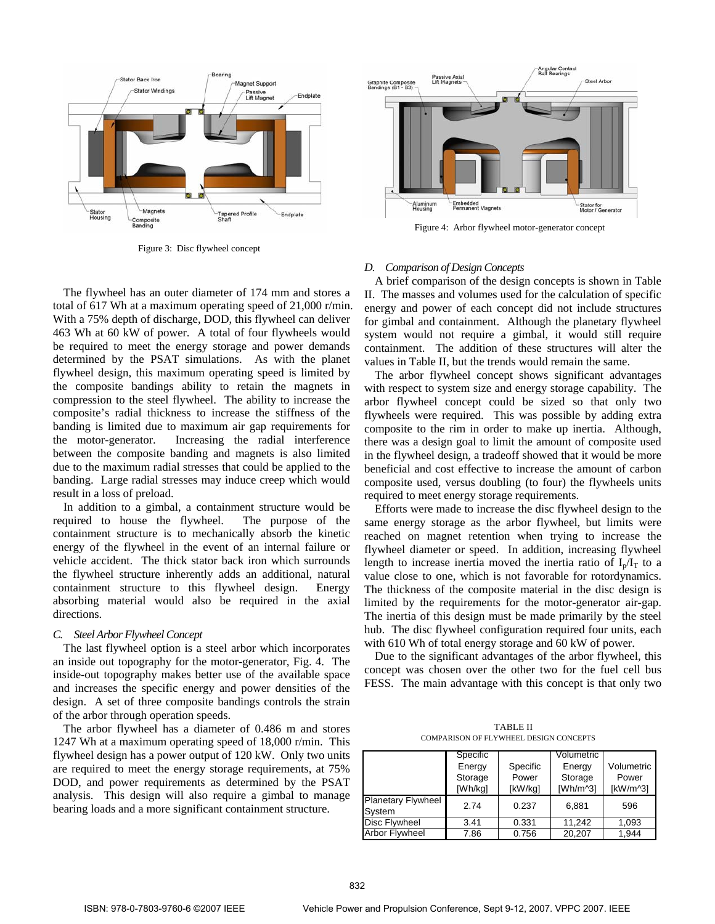

Figure 3: Disc flywheel concept



Figure 4: Arbor flywheel motor-generator concept

The flywheel has an outer diameter of 174 mm and stores a total of 617 Wh at a maximum operating speed of 21,000 r/min. With a 75% depth of discharge, DOD, this flywheel can deliver 463 Wh at 60 kW of power. A total of four flywheels would be required to meet the energy storage and power demands determined by the PSAT simulations. As with the planet flywheel design, this maximum operating speed is limited by the composite bandings ability to retain the magnets in compression to the steel flywheel. The ability to increase the composite's radial thickness to increase the stiffness of the banding is limited due to maximum air gap requirements for the motor-generator. Increasing the radial interference between the composite banding and magnets is also limited due to the maximum radial stresses that could be applied to the banding. Large radial stresses may induce creep which would result in a loss of preload.

In addition to a gimbal, a containment structure would be required to house the flywheel. The purpose of the containment structure is to mechanically absorb the kinetic energy of the flywheel in the event of an internal failure or vehicle accident. The thick stator back iron which surrounds the flywheel structure inherently adds an additional, natural containment structure to this flywheel design. Energy absorbing material would also be required in the axial directions.

## *C. Steel Arbor Flywheel Concept*

The last flywheel option is a steel arbor which incorporates an inside out topography for the motor-generator, Fig. 4. The inside-out topography makes better use of the available space and increases the specific energy and power densities of the design. A set of three composite bandings controls the strain of the arbor through operation speeds.

The arbor flywheel has a diameter of 0.486 m and stores 1247 Wh at a maximum operating speed of 18,000 r/min. This flywheel design has a power output of 120 kW. Only two units are required to meet the energy storage requirements, at 75% DOD, and power requirements as determined by the PSAT analysis. This design will also require a gimbal to manage bearing loads and a more significant containment structure.

# *D. Comparison of Design Concepts*

A brief comparison of the design concepts is shown in Table II. The masses and volumes used for the calculation of specific energy and power of each concept did not include structures for gimbal and containment. Although the planetary flywheel system would not require a gimbal, it would still require containment. The addition of these structures will alter the values in Table II, but the trends would remain the same.

The arbor flywheel concept shows significant advantages with respect to system size and energy storage capability. The arbor flywheel concept could be sized so that only two flywheels were required. This was possible by adding extra composite to the rim in order to make up inertia. Although, there was a design goal to limit the amount of composite used in the flywheel design, a tradeoff showed that it would be more beneficial and cost effective to increase the amount of carbon composite used, versus doubling (to four) the flywheels units required to meet energy storage requirements.

Efforts were made to increase the disc flywheel design to the same energy storage as the arbor flywheel, but limits were reached on magnet retention when trying to increase the flywheel diameter or speed. In addition, increasing flywheel length to increase inertia moved the inertia ratio of  $I_p/I_T$  to a value close to one, which is not favorable for rotordynamics. The thickness of the composite material in the disc design is limited by the requirements for the motor-generator air-gap. The inertia of this design must be made primarily by the steel hub. The disc flywheel configuration required four units, each with 610 Wh of total energy storage and 60 kW of power.

Due to the significant advantages of the arbor flywheel, this concept was chosen over the other two for the fuel cell bus FESS. The main advantage with this concept is that only two

TABLE II COMPARISON OF FLYWHEEL DESIGN CONCEPTS

|                           | Specific |          | Volumetric           |            |
|---------------------------|----------|----------|----------------------|------------|
|                           | Energy   | Specific | Energy               | Volumetric |
|                           | Storage  | Power    | Storage              | Power      |
|                           | [Wh/kg]  | [kW/kg]  | [Wh/m <sub>3</sub> ] | [kW/m^3]   |
| <b>Planetary Flywheel</b> | 2.74     | 0.237    | 6.881                | 596        |
| System                    |          |          |                      |            |
| <b>Disc Flywheel</b>      | 3.41     | 0.331    | 11.242               | 1.093      |
| <b>Arbor Flywheel</b>     | 7.86     | 0.756    | 20,207               | 1.944      |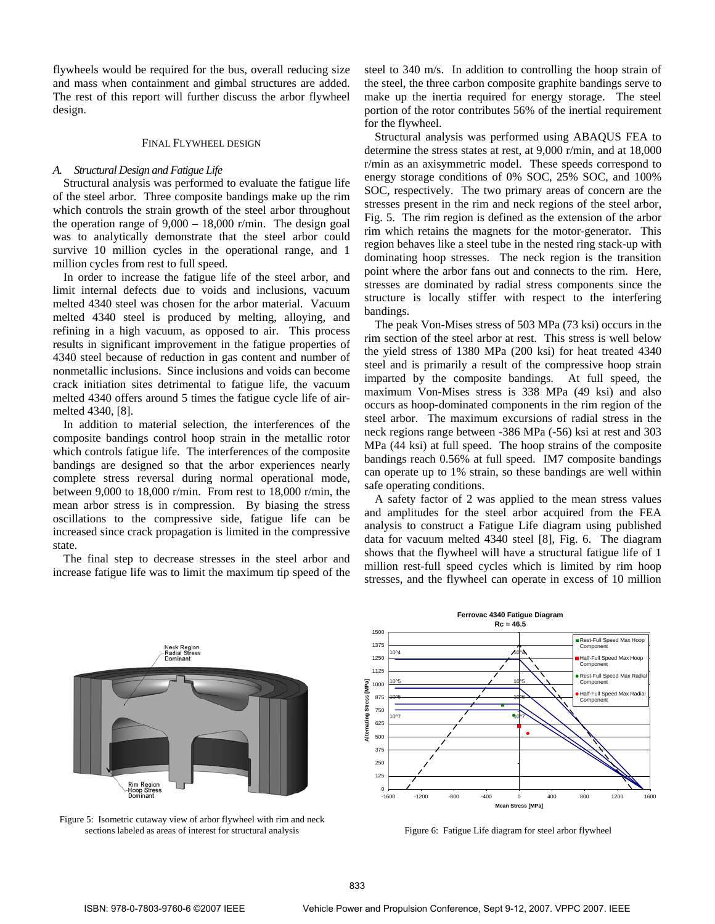flywheels would be required for the bus, overall reducing size and mass when containment and gimbal structures are added. The rest of this report will further discuss the arbor flywheel design.

#### FINAL FLYWHEEL DESIGN

#### *A. Structural Design and Fatigue Life*

Structural analysis was performed to evaluate the fatigue life of the steel arbor. Three composite bandings make up the rim which controls the strain growth of the steel arbor throughout the operation range of  $9,000 - 18,000$  r/min. The design goal was to analytically demonstrate that the steel arbor could survive 10 million cycles in the operational range, and 1 million cycles from rest to full speed.

In order to increase the fatigue life of the steel arbor, and limit internal defects due to voids and inclusions, vacuum melted 4340 steel was chosen for the arbor material. Vacuum melted 4340 steel is produced by melting, alloying, and refining in a high vacuum, as opposed to air. This process results in significant improvement in the fatigue properties of 4340 steel because of reduction in gas content and number of nonmetallic inclusions. Since inclusions and voids can become crack initiation sites detrimental to fatigue life, the vacuum melted 4340 offers around 5 times the fatigue cycle life of airmelted 4340, [8].

In addition to material selection, the interferences of the composite bandings control hoop strain in the metallic rotor which controls fatigue life. The interferences of the composite bandings are designed so that the arbor experiences nearly complete stress reversal during normal operational mode, between 9,000 to 18,000 r/min. From rest to 18,000 r/min, the mean arbor stress is in compression. By biasing the stress oscillations to the compressive side, fatigue life can be increased since crack propagation is limited in the compressive state.

The final step to decrease stresses in the steel arbor and increase fatigue life was to limit the maximum tip speed of the steel to 340 m/s. In addition to controlling the hoop strain of the steel, the three carbon composite graphite bandings serve to make up the inertia required for energy storage. The steel portion of the rotor contributes 56% of the inertial requirement for the flywheel.

Structural analysis was performed using ABAQUS FEA to determine the stress states at rest, at 9,000 r/min, and at 18,000 r/min as an axisymmetric model. These speeds correspond to energy storage conditions of 0% SOC, 25% SOC, and 100% SOC, respectively. The two primary areas of concern are the stresses present in the rim and neck regions of the steel arbor, Fig. 5. The rim region is defined as the extension of the arbor rim which retains the magnets for the motor-generator. This region behaves like a steel tube in the nested ring stack-up with dominating hoop stresses. The neck region is the transition point where the arbor fans out and connects to the rim. Here, stresses are dominated by radial stress components since the structure is locally stiffer with respect to the interfering bandings.

The peak Von-Mises stress of 503 MPa (73 ksi) occurs in the rim section of the steel arbor at rest. This stress is well below the yield stress of 1380 MPa (200 ksi) for heat treated 4340 steel and is primarily a result of the compressive hoop strain imparted by the composite bandings. At full speed, the maximum Von-Mises stress is 338 MPa (49 ksi) and also occurs as hoop-dominated components in the rim region of the steel arbor. The maximum excursions of radial stress in the neck regions range between -386 MPa (-56) ksi at rest and 303 MPa (44 ksi) at full speed. The hoop strains of the composite bandings reach 0.56% at full speed. IM7 composite bandings can operate up to 1% strain, so these bandings are well within safe operating conditions.

A safety factor of 2 was applied to the mean stress values and amplitudes for the steel arbor acquired from the FEA analysis to construct a Fatigue Life diagram using published data for vacuum melted 4340 steel [8], Fig. 6. The diagram shows that the flywheel will have a structural fatigue life of 1 million rest-full speed cycles which is limited by rim hoop stresses, and the flywheel can operate in excess of 10 million



Figure 5: Isometric cutaway view of arbor flywheel with rim and neck sections labeled as areas of interest for structural analysis



Figure 6: Fatigue Life diagram for steel arbor flywheel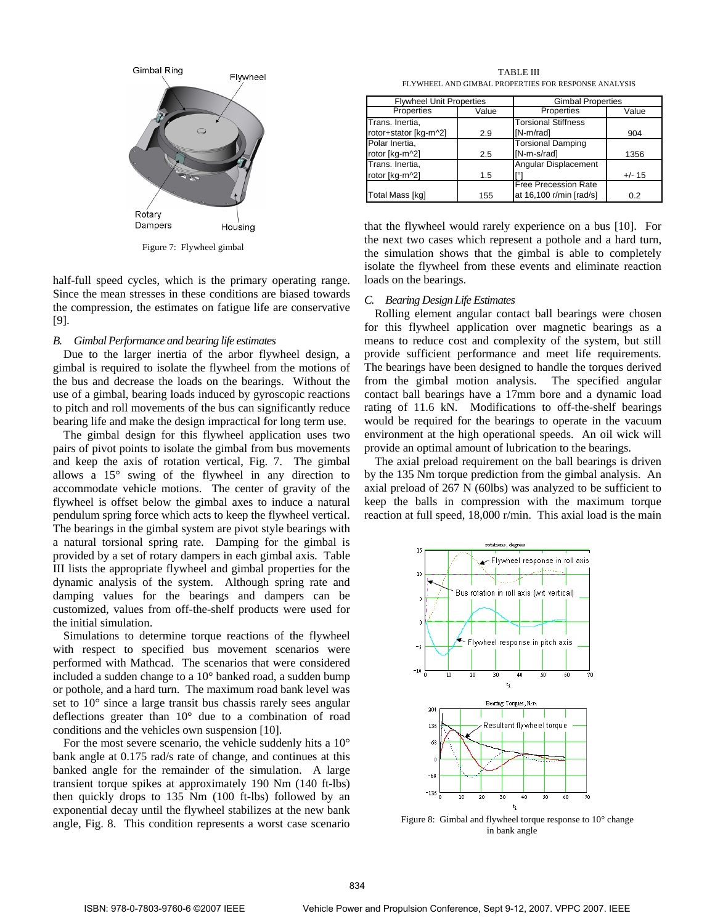

Figure 7: Flywheel gimbal

half-full speed cycles, which is the primary operating range. Since the mean stresses in these conditions are biased towards the compression, the estimates on fatigue life are conservative [9].

#### *B. Gimbal Performance and bearing life estimates*

Due to the larger inertia of the arbor flywheel design, a gimbal is required to isolate the flywheel from the motions of the bus and decrease the loads on the bearings. Without the use of a gimbal, bearing loads induced by gyroscopic reactions to pitch and roll movements of the bus can significantly reduce bearing life and make the design impractical for long term use.

The gimbal design for this flywheel application uses two pairs of pivot points to isolate the gimbal from bus movements and keep the axis of rotation vertical, Fig. 7. The gimbal allows a 15° swing of the flywheel in any direction to accommodate vehicle motions. The center of gravity of the flywheel is offset below the gimbal axes to induce a natural pendulum spring force which acts to keep the flywheel vertical. The bearings in the gimbal system are pivot style bearings with a natural torsional spring rate. Damping for the gimbal is provided by a set of rotary dampers in each gimbal axis. Table III lists the appropriate flywheel and gimbal properties for the dynamic analysis of the system. Although spring rate and damping values for the bearings and dampers can be customized, values from off-the-shelf products were used for the initial simulation.

Simulations to determine torque reactions of the flywheel with respect to specified bus movement scenarios were performed with Mathcad. The scenarios that were considered included a sudden change to a 10° banked road, a sudden bump or pothole, and a hard turn. The maximum road bank level was set to 10° since a large transit bus chassis rarely sees angular deflections greater than 10° due to a combination of road conditions and the vehicles own suspension [10].

For the most severe scenario, the vehicle suddenly hits a 10° bank angle at 0.175 rad/s rate of change, and continues at this banked angle for the remainder of the simulation. A large transient torque spikes at approximately 190 Nm (140 ft-lbs) then quickly drops to 135 Nm (100 ft-lbs) followed by an exponential decay until the flywheel stabilizes at the new bank angle, Fig. 8. This condition represents a worst case scenario

TABLE III FLYWHEEL AND GIMBAL PROPERTIES FOR RESPONSE ANALYSIS

| <b>Flywheel Unit Properties</b> |       | <b>Gimbal Properties</b>    |          |  |
|---------------------------------|-------|-----------------------------|----------|--|
| Properties                      | Value | Properties                  | Value    |  |
| Trans. Inertia,                 |       | <b>Torsional Stiffness</b>  |          |  |
| rotor+stator [kg-m^2]           | 2.9   | [N-m/rad]                   | 904      |  |
| Polar Inertia,                  |       | <b>Torsional Damping</b>    |          |  |
| rotor [kg-m^2]                  | 2.5   | [N-m-s/rad]                 | 1356     |  |
| Trans. Inertia,                 |       | Angular Displacement        |          |  |
| rotor [kg-m^2]                  | 1.5   | гот                         | $+/- 15$ |  |
|                                 |       | <b>Free Precession Rate</b> |          |  |
| Total Mass [kg]                 | 155   | at 16,100 r/min [rad/s]     | 0.2      |  |

that the flywheel would rarely experience on a bus [10]. For the next two cases which represent a pothole and a hard turn, the simulation shows that the gimbal is able to completely isolate the flywheel from these events and eliminate reaction loads on the bearings.

## *C. Bearing Design Life Estimates*

Rolling element angular contact ball bearings were chosen for this flywheel application over magnetic bearings as a means to reduce cost and complexity of the system, but still provide sufficient performance and meet life requirements. The bearings have been designed to handle the torques derived from the gimbal motion analysis. The specified angular contact ball bearings have a 17mm bore and a dynamic load rating of 11.6 kN. Modifications to off-the-shelf bearings would be required for the bearings to operate in the vacuum environment at the high operational speeds. An oil wick will provide an optimal amount of lubrication to the bearings.

The axial preload requirement on the ball bearings is driven by the 135 Nm torque prediction from the gimbal analysis. An axial preload of 267 N (60lbs) was analyzed to be sufficient to keep the balls in compression with the maximum torque reaction at full speed, 18,000 r/min. This axial load is the main



Figure 8: Gimbal and flywheel torque response to 10° change in bank angle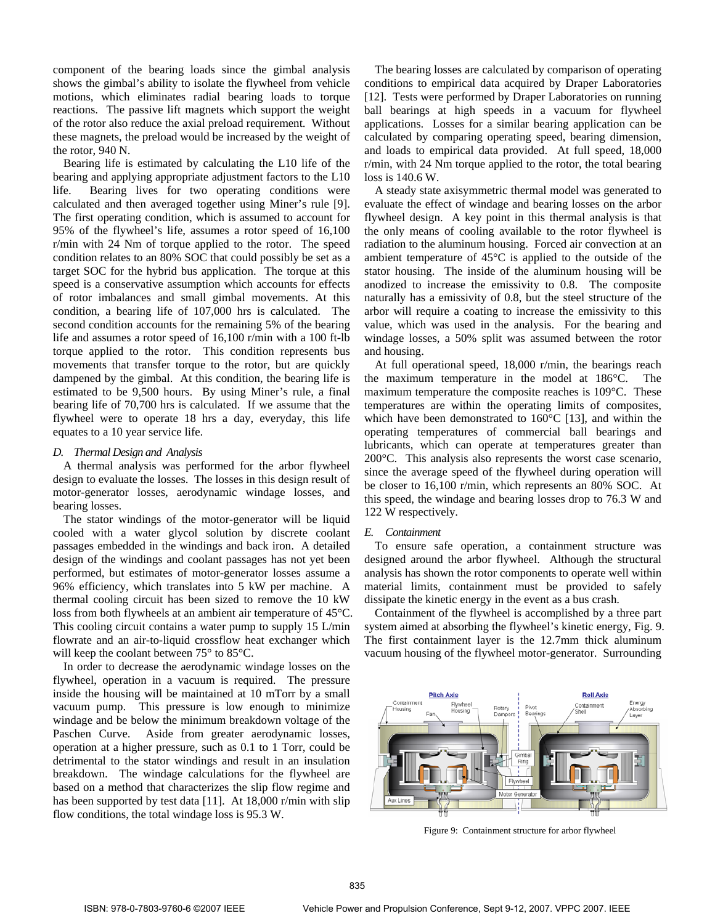component of the bearing loads since the gimbal analysis shows the gimbal's ability to isolate the flywheel from vehicle motions, which eliminates radial bearing loads to torque reactions. The passive lift magnets which support the weight of the rotor also reduce the axial preload requirement. Without these magnets, the preload would be increased by the weight of the rotor, 940 N.

Bearing life is estimated by calculating the L10 life of the bearing and applying appropriate adjustment factors to the L10 life. Bearing lives for two operating conditions were calculated and then averaged together using Miner's rule [9]. The first operating condition, which is assumed to account for 95% of the flywheel's life, assumes a rotor speed of 16,100 r/min with 24 Nm of torque applied to the rotor. The speed condition relates to an 80% SOC that could possibly be set as a target SOC for the hybrid bus application. The torque at this speed is a conservative assumption which accounts for effects of rotor imbalances and small gimbal movements. At this condition, a bearing life of 107,000 hrs is calculated. The second condition accounts for the remaining 5% of the bearing life and assumes a rotor speed of 16,100 r/min with a 100 ft-lb torque applied to the rotor. This condition represents bus movements that transfer torque to the rotor, but are quickly dampened by the gimbal. At this condition, the bearing life is estimated to be 9,500 hours. By using Miner's rule, a final bearing life of 70,700 hrs is calculated. If we assume that the flywheel were to operate 18 hrs a day, everyday, this life equates to a 10 year service life.

## *D. Thermal Design and Analysis*

A thermal analysis was performed for the arbor flywheel design to evaluate the losses. The losses in this design result of motor-generator losses, aerodynamic windage losses, and bearing losses.

The stator windings of the motor-generator will be liquid cooled with a water glycol solution by discrete coolant passages embedded in the windings and back iron. A detailed design of the windings and coolant passages has not yet been performed, but estimates of motor-generator losses assume a 96% efficiency, which translates into 5 kW per machine. A thermal cooling circuit has been sized to remove the 10 kW loss from both flywheels at an ambient air temperature of 45°C. This cooling circuit contains a water pump to supply 15 L/min flowrate and an air-to-liquid crossflow heat exchanger which will keep the coolant between 75° to 85°C.

In order to decrease the aerodynamic windage losses on the flywheel, operation in a vacuum is required. The pressure inside the housing will be maintained at 10 mTorr by a small vacuum pump. This pressure is low enough to minimize windage and be below the minimum breakdown voltage of the Paschen Curve. Aside from greater aerodynamic losses, operation at a higher pressure, such as 0.1 to 1 Torr, could be detrimental to the stator windings and result in an insulation breakdown. The windage calculations for the flywheel are based on a method that characterizes the slip flow regime and has been supported by test data [11]. At 18,000 r/min with slip flow conditions, the total windage loss is 95.3 W.

The bearing losses are calculated by comparison of operating conditions to empirical data acquired by Draper Laboratories [12]. Tests were performed by Draper Laboratories on running ball bearings at high speeds in a vacuum for flywheel applications. Losses for a similar bearing application can be calculated by comparing operating speed, bearing dimension, and loads to empirical data provided. At full speed, 18,000 r/min, with 24 Nm torque applied to the rotor, the total bearing loss is 140.6 W.

A steady state axisymmetric thermal model was generated to evaluate the effect of windage and bearing losses on the arbor flywheel design. A key point in this thermal analysis is that the only means of cooling available to the rotor flywheel is radiation to the aluminum housing. Forced air convection at an ambient temperature of 45°C is applied to the outside of the stator housing. The inside of the aluminum housing will be anodized to increase the emissivity to 0.8. The composite naturally has a emissivity of 0.8, but the steel structure of the arbor will require a coating to increase the emissivity to this value, which was used in the analysis. For the bearing and windage losses, a 50% split was assumed between the rotor and housing.

At full operational speed, 18,000 r/min, the bearings reach the maximum temperature in the model at 186°C. The maximum temperature the composite reaches is 109°C. These temperatures are within the operating limits of composites, which have been demonstrated to 160°C [13], and within the operating temperatures of commercial ball bearings and lubricants, which can operate at temperatures greater than 200°C. This analysis also represents the worst case scenario, since the average speed of the flywheel during operation will be closer to 16,100 r/min, which represents an 80% SOC. At this speed, the windage and bearing losses drop to 76.3 W and 122 W respectively.

## *E. Containment*

To ensure safe operation, a containment structure was designed around the arbor flywheel. Although the structural analysis has shown the rotor components to operate well within material limits, containment must be provided to safely dissipate the kinetic energy in the event as a bus crash.

Containment of the flywheel is accomplished by a three part system aimed at absorbing the flywheel's kinetic energy, Fig. 9. The first containment layer is the 12.7mm thick aluminum vacuum housing of the flywheel motor-generator. Surrounding



Figure 9: Containment structure for arbor flywheel